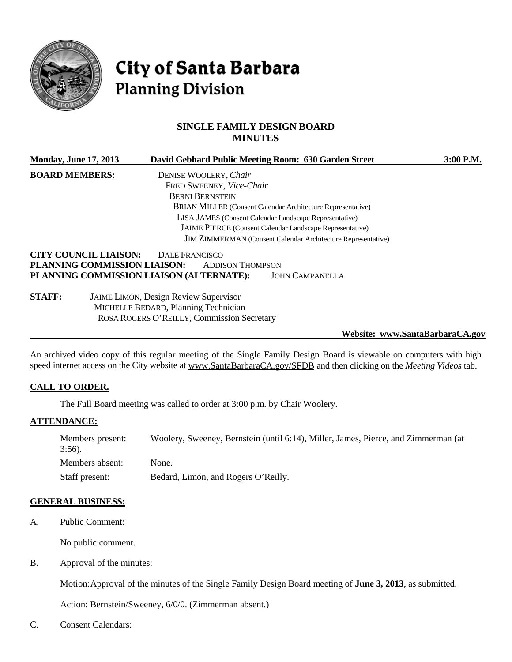

# **City of Santa Barbara Planning Division**

# **SINGLE FAMILY DESIGN BOARD MINUTES**

| <b>Monday, June 17, 2013</b> | David Gebhard Public Meeting Room: 630 Garden Street                | 3:00 P.M. |
|------------------------------|---------------------------------------------------------------------|-----------|
| <b>BOARD MEMBERS:</b>        | DENISE WOOLERY, Chair                                               |           |
|                              | FRED SWEENEY, Vice-Chair                                            |           |
|                              | <b>BERNI BERNSTEIN</b>                                              |           |
|                              | BRIAN MILLER (Consent Calendar Architecture Representative)         |           |
|                              | LISA JAMES (Consent Calendar Landscape Representative)              |           |
|                              | JAIME PIERCE (Consent Calendar Landscape Representative)            |           |
|                              | <b>JIM ZIMMERMAN</b> (Consent Calendar Architecture Representative) |           |
|                              | <b>CITY COUNCIL LIAISON:</b><br>DALE FRANCISCO                      |           |
|                              | PLANNING COMMISSION LIAISON:<br><b>ADDISON THOMPSON</b>             |           |
|                              | PLANNING COMMISSION LIAISON (ALTERNATE):<br><b>JOHN CAMPANELLA</b>  |           |
| <b>STAFF:</b>                | JAIME LIMÓN, Design Review Supervisor                               |           |
|                              | MICHELLE BEDARD, Planning Technician                                |           |
|                              | ROSA ROGERS O'REILLY, Commission Secretary                          |           |

#### **Website: www.SantaBarbaraCA.gov**

An archived video copy of this regular meeting of the Single Family Design Board is viewable on computers with high speed internet access on the City website at [www.SantaBarbaraCA.gov/SFDB](http://www.santabarbaraca.gov/SFDB) and then clicking on the *Meeting Videos* tab.

# **CALL TO ORDER.**

The Full Board meeting was called to order at 3:00 p.m. by Chair Woolery.

#### **ATTENDANCE:**

| Members present:<br>$3:56$ ). | Woolery, Sweeney, Bernstein (until 6:14), Miller, James, Pierce, and Zimmerman (at |
|-------------------------------|------------------------------------------------------------------------------------|
| Members absent:               | None.                                                                              |
| Staff present:                | Bedard, Limón, and Rogers O'Reilly.                                                |

#### **GENERAL BUSINESS:**

A. Public Comment:

No public comment.

B. Approval of the minutes:

Motion:Approval of the minutes of the Single Family Design Board meeting of **June 3, 2013**, as submitted.

Action: Bernstein/Sweeney, 6/0/0. (Zimmerman absent.)

C. Consent Calendars: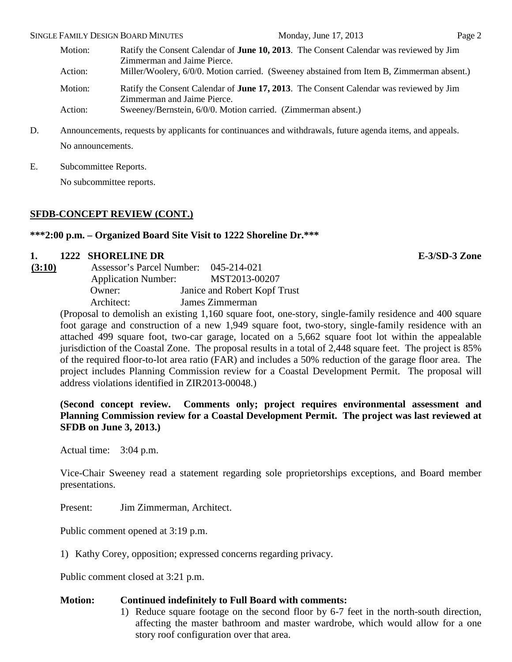# Motion: Ratify the Consent Calendar of **June 10, 2013**. The Consent Calendar was reviewed by Jim

Zimmerman and Jaime Pierce.

Action: Miller/Woolery, 6/0/0. Motion carried. (Sweeney abstained from Item B, Zimmerman absent.)

Motion: Ratify the Consent Calendar of **June 17, 2013**. The Consent Calendar was reviewed by Jim Zimmerman and Jaime Pierce.

Action: Sweeney/Bernstein, 6/0/0. Motion carried. (Zimmerman absent.)

D. Announcements, requests by applicants for continuances and withdrawals, future agenda items, and appeals. No announcements.

E. Subcommittee Reports.

No subcommittee reports.

# **SFDB-CONCEPT REVIEW (CONT.)**

# **\*\*\*2:00 p.m. – Organized Board Site Visit to 1222 Shoreline Dr.\*\*\***

# **1. 1222 SHORELINE DR E-3/SD-3 Zone**

| (3:10) | <b>Assessor's Parcel Number:</b> |  | 045-214-021                  |
|--------|----------------------------------|--|------------------------------|
|        | <b>Application Number:</b>       |  | MST2013-00207                |
|        | Owner:                           |  | Janice and Robert Kopf Trust |
|        | Architect:                       |  | James Zimmerman              |
|        |                                  |  |                              |

(Proposal to demolish an existing 1,160 square foot, one-story, single-family residence and 400 square foot garage and construction of a new 1,949 square foot, two-story, single-family residence with an attached 499 square foot, two-car garage, located on a 5,662 square foot lot within the appealable jurisdiction of the Coastal Zone. The proposal results in a total of 2,448 square feet. The project is 85% of the required floor-to-lot area ratio (FAR) and includes a 50% reduction of the garage floor area. The project includes Planning Commission review for a Coastal Development Permit. The proposal will address violations identified in ZIR2013-00048.)

**(Second concept review. Comments only; project requires environmental assessment and Planning Commission review for a Coastal Development Permit. The project was last reviewed at SFDB on June 3, 2013.)**

Actual time: 3:04 p.m.

Vice-Chair Sweeney read a statement regarding sole proprietorships exceptions, and Board member presentations.

Present: Jim Zimmerman, Architect.

Public comment opened at 3:19 p.m.

1) Kathy Corey, opposition; expressed concerns regarding privacy.

Public comment closed at 3:21 p.m.

# **Motion: Continued indefinitely to Full Board with comments:**

1) Reduce square footage on the second floor by 6-7 feet in the north-south direction, affecting the master bathroom and master wardrobe, which would allow for a one story roof configuration over that area.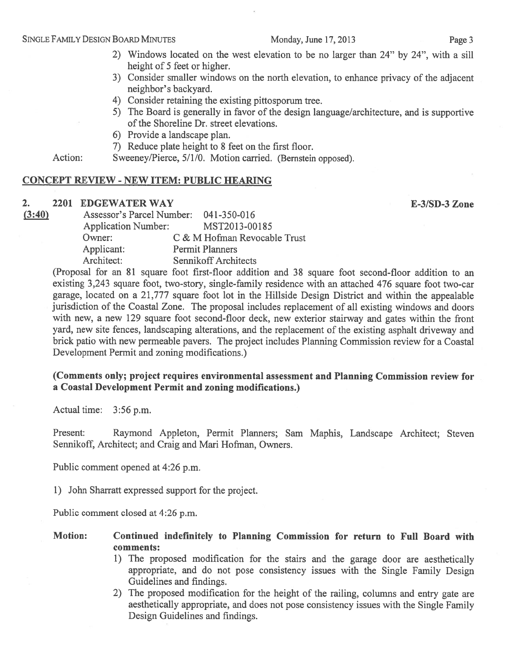#### Monday, June 17, 2013

- 2) Windows located on the west elevation to be no larger than 24" by 24", with a sill height of 5 feet or higher.
- 3) Consider smaller windows on the north elevation, to enhance privacy of the adjacent neighbor's backyard.
- 4) Consider retaining the existing pittosporum tree.
- 5) The Board is generally in favor of the design language/architecture, and is supportive of the Shoreline Dr. street elevations.
- 6) Provide a landscape plan.
- 7) Reduce plate height to 8 feet on the first floor.

Action: Sweeney/Pierce, 5/1/0. Motion carried. (Bernstein opposed).

#### **CONCEPT REVIEW - NEW ITEM: PUBLIC HEARING**

#### $2.$ 2201 EDGEWATER WAY

E-3/SD-3 Zone

 $(3:40)$ Assessor's Parcel Number: 041-350-016 **Application Number:** MST2013-00185 Owner: C & M Hofman Revocable Trust Applicant: **Permit Planners** Architect: **Sennikoff Architects** 

(Proposal for an 81 square foot first-floor addition and 38 square foot second-floor addition to an existing 3,243 square foot, two-story, single-family residence with an attached 476 square foot two-car garage, located on a 21,777 square foot lot in the Hillside Design District and within the appealable jurisdiction of the Coastal Zone. The proposal includes replacement of all existing windows and doors with new, a new 129 square foot second-floor deck, new exterior stairway and gates within the front yard, new site fences, landscaping alterations, and the replacement of the existing asphalt driveway and brick patio with new permeable pavers. The project includes Planning Commission review for a Coastal Development Permit and zoning modifications.)

#### (Comments only; project requires environmental assessment and Planning Commission review for a Coastal Development Permit and zoning modifications.)

Actual time: 3:56 p.m.

Present: Raymond Appleton, Permit Planners; Sam Maphis, Landscape Architect; Steven Sennikoff, Architect; and Craig and Mari Hofman, Owners.

Public comment opened at 4:26 p.m.

1) John Sharratt expressed support for the project.

Public comment closed at 4:26 p.m.

#### **Motion:** Continued indefinitely to Planning Commission for return to Full Board with comments:

- 1) The proposed modification for the stairs and the garage door are aesthetically appropriate, and do not pose consistency issues with the Single Family Design Guidelines and findings.
- 2) The proposed modification for the height of the railing, columns and entry gate are aesthetically appropriate, and does not pose consistency issues with the Single Family Design Guidelines and findings.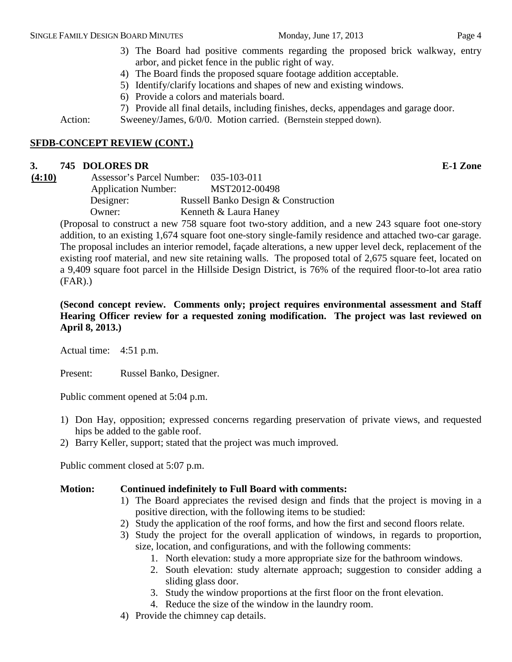# 3) The Board had positive comments regarding the proposed brick walkway, entry arbor, and picket fence in the public right of way.

- 4) The Board finds the proposed square footage addition acceptable.
- 5) Identify/clarify locations and shapes of new and existing windows.
- 6) Provide a colors and materials board.
- 7) Provide all final details, including finishes, decks, appendages and garage door.

Action: Sweeney/James, 6/0/0. Motion carried. (Bernstein stepped down).

#### **SFDB-CONCEPT REVIEW (CONT.)**

# **3. 745 DOLORES DR E-1 Zone**

**(4:10)** Assessor's Parcel Number: 035-103-011 Application Number: MST2012-00498 Designer: Russell Banko Design & Construction Owner: Kenneth & Laura Haney

(Proposal to construct a new 758 square foot two-story addition, and a new 243 square foot one-story addition, to an existing 1,674 square foot one-story single-family residence and attached two-car garage. The proposal includes an interior remodel, façade alterations, a new upper level deck, replacement of the existing roof material, and new site retaining walls. The proposed total of 2,675 square feet, located on a 9,409 square foot parcel in the Hillside Design District, is 76% of the required floor-to-lot area ratio (FAR).)

**(Second concept review. Comments only; project requires environmental assessment and Staff Hearing Officer review for a requested zoning modification. The project was last reviewed on April 8, 2013.)**

Actual time: 4:51 p.m.

Present: Russel Banko, Designer.

Public comment opened at 5:04 p.m.

- 1) Don Hay, opposition; expressed concerns regarding preservation of private views, and requested hips be added to the gable roof.
- 2) Barry Keller, support; stated that the project was much improved.

Public comment closed at 5:07 p.m.

#### **Motion: Continued indefinitely to Full Board with comments:**

- 1) The Board appreciates the revised design and finds that the project is moving in a positive direction, with the following items to be studied:
- 2) Study the application of the roof forms, and how the first and second floors relate.
- 3) Study the project for the overall application of windows, in regards to proportion, size, location, and configurations, and with the following comments:
	- 1. North elevation: study a more appropriate size for the bathroom windows.
	- 2. South elevation: study alternate approach; suggestion to consider adding a sliding glass door.
	- 3. Study the window proportions at the first floor on the front elevation.
	- 4. Reduce the size of the window in the laundry room.
- 4) Provide the chimney cap details.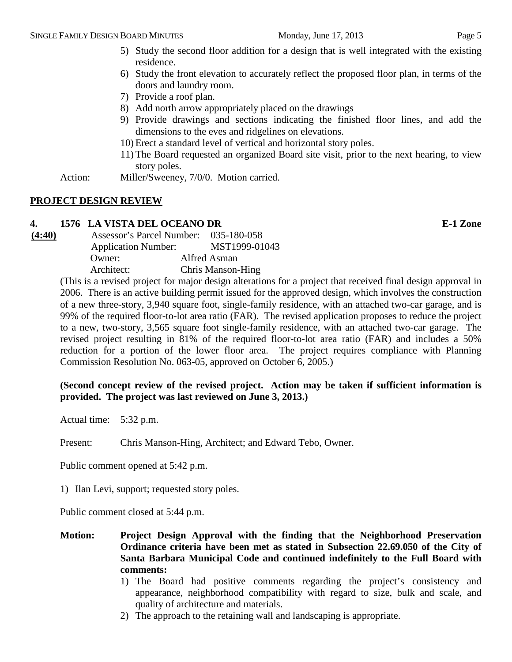- 6) Study the front elevation to accurately reflect the proposed floor plan, in terms of the doors and laundry room.
- 7) Provide a roof plan.
- 8) Add north arrow appropriately placed on the drawings
- 9) Provide drawings and sections indicating the finished floor lines, and add the dimensions to the eves and ridgelines on elevations.
- 10) Erect a standard level of vertical and horizontal story poles.
- 11) The Board requested an organized Board site visit, prior to the next hearing, to view story poles.

Action: Miller/Sweeney, 7/0/0. Motion carried.

# **PROJECT DESIGN REVIEW**

# **4. 1576 LA VISTA DEL OCEANO DR E-1 Zone**

**(4:40)** Assessor's Parcel Number: 035-180-058 Application Number: MST1999-01043 Owner: Alfred Asman Architect: Chris Manson-Hing

(This is a revised project for major design alterations for a project that received final design approval in 2006. There is an active building permit issued for the approved design, which involves the construction of a new three-story, 3,940 square foot, single-family residence, with an attached two-car garage, and is 99% of the required floor-to-lot area ratio (FAR). The revised application proposes to reduce the project to a new, two-story, 3,565 square foot single-family residence, with an attached two-car garage. The revised project resulting in 81% of the required floor-to-lot area ratio (FAR) and includes a 50% reduction for a portion of the lower floor area. The project requires compliance with Planning Commission Resolution No. 063-05, approved on October 6, 2005.)

# **(Second concept review of the revised project. Action may be taken if sufficient information is provided. The project was last reviewed on June 3, 2013.)**

Actual time: 5:32 p.m.

Present: Chris Manson-Hing, Architect; and Edward Tebo, Owner.

Public comment opened at 5:42 p.m.

1) Ilan Levi, support; requested story poles.

Public comment closed at 5:44 p.m.

- **Motion: Project Design Approval with the finding that the Neighborhood Preservation Ordinance criteria have been met as stated in Subsection 22.69.050 of the City of Santa Barbara Municipal Code and continued indefinitely to the Full Board with comments:**
	- 1) The Board had positive comments regarding the project's consistency and appearance, neighborhood compatibility with regard to size, bulk and scale, and quality of architecture and materials.
	- 2) The approach to the retaining wall and landscaping is appropriate.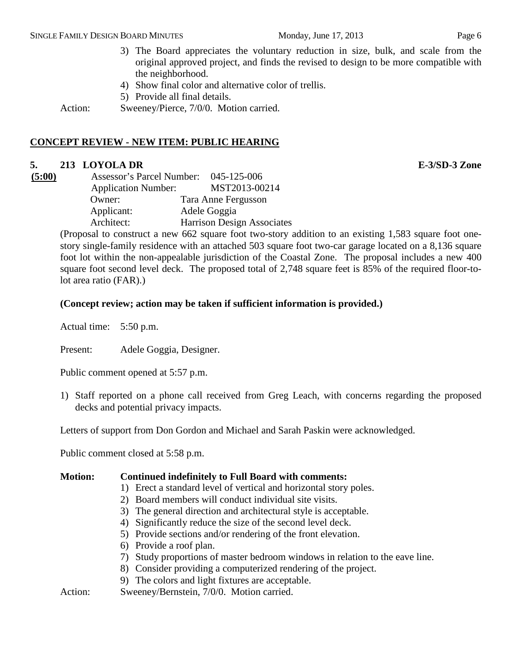3) The Board appreciates the voluntary reduction in size, bulk, and scale from the original approved project, and finds the revised to design to be more compatible with the neighborhood.

- 4) Show final color and alternative color of trellis.
- 5) Provide all final details.

Action: Sweeney/Pierce, 7/0/0. Motion carried.

# **CONCEPT REVIEW - NEW ITEM: PUBLIC HEARING**

# **5. 213 LOYOLA DR E-3/SD-3 Zone**

| (5:00) | <b>Assessor's Parcel Number:</b> | 045-125-006                       |
|--------|----------------------------------|-----------------------------------|
|        | <b>Application Number:</b>       | MST2013-00214                     |
|        | Owner:                           | Tara Anne Fergusson               |
|        | Applicant:                       | Adele Goggia                      |
|        | Architect:                       | <b>Harrison Design Associates</b> |

(Proposal to construct a new 662 square foot two-story addition to an existing 1,583 square foot onestory single-family residence with an attached 503 square foot two-car garage located on a 8,136 square foot lot within the non-appealable jurisdiction of the Coastal Zone. The proposal includes a new 400 square foot second level deck. The proposed total of 2,748 square feet is 85% of the required floor-tolot area ratio (FAR).)

#### **(Concept review; action may be taken if sufficient information is provided.)**

Actual time: 5:50 p.m.

Present: Adele Goggia, Designer.

Public comment opened at 5:57 p.m.

1) Staff reported on a phone call received from Greg Leach, with concerns regarding the proposed decks and potential privacy impacts.

Letters of support from Don Gordon and Michael and Sarah Paskin were acknowledged.

Public comment closed at 5:58 p.m.

#### **Motion: Continued indefinitely to Full Board with comments:**

- 1) Erect a standard level of vertical and horizontal story poles.
- 2) Board members will conduct individual site visits.
- 3) The general direction and architectural style is acceptable.
- 4) Significantly reduce the size of the second level deck.
- 5) Provide sections and/or rendering of the front elevation.
- 6) Provide a roof plan.
- 7) Study proportions of master bedroom windows in relation to the eave line.
- 8) Consider providing a computerized rendering of the project.
- 9) The colors and light fixtures are acceptable.

Action: Sweeney/Bernstein, 7/0/0. Motion carried.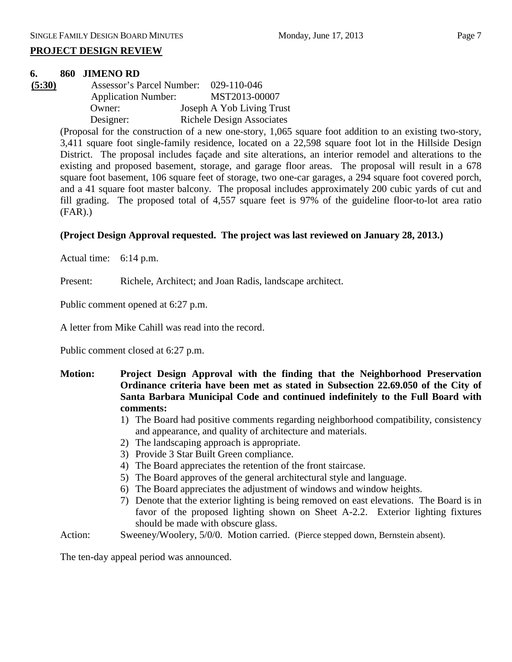#### **PROJECT DESIGN REVIEW**

#### **6. 860 JIMENO RD**

**(5:30)** Assessor's Parcel Number: 029-110-046 Application Number: MST2013-00007 Owner: Joseph A Yob Living Trust Designer: Richele Design Associates

> (Proposal for the construction of a new one-story, 1,065 square foot addition to an existing two-story, 3,411 square foot single-family residence, located on a 22,598 square foot lot in the Hillside Design District. The proposal includes façade and site alterations, an interior remodel and alterations to the existing and proposed basement, storage, and garage floor areas. The proposal will result in a 678 square foot basement, 106 square feet of storage, two one-car garages, a 294 square foot covered porch, and a 41 square foot master balcony. The proposal includes approximately 200 cubic yards of cut and fill grading. The proposed total of 4,557 square feet is 97% of the guideline floor-to-lot area ratio (FAR).)

# **(Project Design Approval requested. The project was last reviewed on January 28, 2013.)**

Actual time: 6:14 p.m.

Present: Richele, Architect; and Joan Radis, landscape architect.

Public comment opened at 6:27 p.m.

A letter from Mike Cahill was read into the record.

Public comment closed at 6:27 p.m.

- **Motion: Project Design Approval with the finding that the Neighborhood Preservation Ordinance criteria have been met as stated in Subsection 22.69.050 of the City of Santa Barbara Municipal Code and continued indefinitely to the Full Board with comments:**
	- 1) The Board had positive comments regarding neighborhood compatibility, consistency and appearance, and quality of architecture and materials.
	- 2) The landscaping approach is appropriate.
	- 3) Provide 3 Star Built Green compliance.
	- 4) The Board appreciates the retention of the front staircase.
	- 5) The Board approves of the general architectural style and language.
	- 6) The Board appreciates the adjustment of windows and window heights.
	- 7) Denote that the exterior lighting is being removed on east elevations. The Board is in favor of the proposed lighting shown on Sheet A-2.2. Exterior lighting fixtures should be made with obscure glass.

Action: Sweeney/Woolery, 5/0/0. Motion carried. (Pierce stepped down, Bernstein absent).

The ten-day appeal period was announced.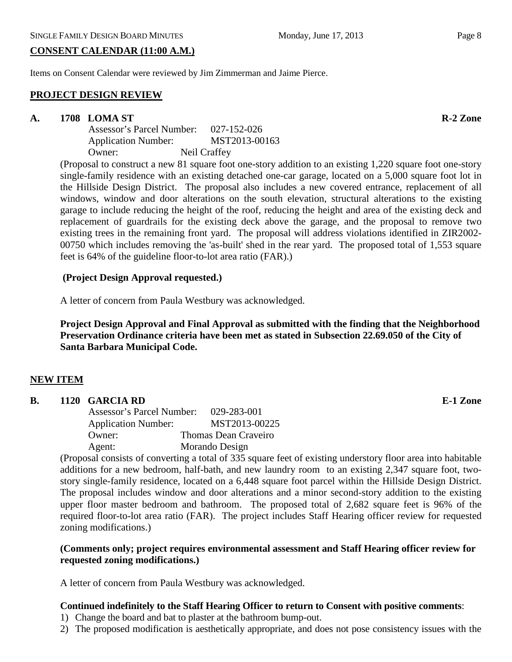#### **CONSENT CALENDAR (11:00 A.M.)**

Items on Consent Calendar were reviewed by Jim Zimmerman and Jaime Pierce.

#### **PROJECT DESIGN REVIEW**

#### **A. 1708 LOMA ST R-2 Zone**

Assessor's Parcel Number: 027-152-026 Application Number: MST2013-00163 Owner: Neil Craffey

(Proposal to construct a new 81 square foot one-story addition to an existing 1,220 square foot one-story single-family residence with an existing detached one-car garage, located on a 5,000 square foot lot in the Hillside Design District. The proposal also includes a new covered entrance, replacement of all windows, window and door alterations on the south elevation, structural alterations to the existing garage to include reducing the height of the roof, reducing the height and area of the existing deck and replacement of guardrails for the existing deck above the garage, and the proposal to remove two existing trees in the remaining front yard. The proposal will address violations identified in ZIR2002- 00750 which includes removing the 'as-built' shed in the rear yard. The proposed total of 1,553 square feet is 64% of the guideline floor-to-lot area ratio (FAR).)

#### **(Project Design Approval requested.)**

A letter of concern from Paula Westbury was acknowledged.

**Project Design Approval and Final Approval as submitted with the finding that the Neighborhood Preservation Ordinance criteria have been met as stated in Subsection 22.69.050 of the City of Santa Barbara Municipal Code.**

#### **NEW ITEM**

#### **B. 1120 GARCIA RD E-1 Zone**

Assessor's Parcel Number: 029-283-001 Application Number: MST2013-00225 Owner: Thomas Dean Craveiro Agent: Morando Design

(Proposal consists of converting a total of 335 square feet of existing understory floor area into habitable additions for a new bedroom, half-bath, and new laundry room to an existing 2,347 square foot, twostory single-family residence, located on a 6,448 square foot parcel within the Hillside Design District. The proposal includes window and door alterations and a minor second-story addition to the existing upper floor master bedroom and bathroom. The proposed total of 2,682 square feet is 96% of the required floor-to-lot area ratio (FAR). The project includes Staff Hearing officer review for requested zoning modifications.)

# **(Comments only; project requires environmental assessment and Staff Hearing officer review for requested zoning modifications.)**

A letter of concern from Paula Westbury was acknowledged.

# **Continued indefinitely to the Staff Hearing Officer to return to Consent with positive comments**:

- 1) Change the board and bat to plaster at the bathroom bump-out.
- 2) The proposed modification is aesthetically appropriate, and does not pose consistency issues with the